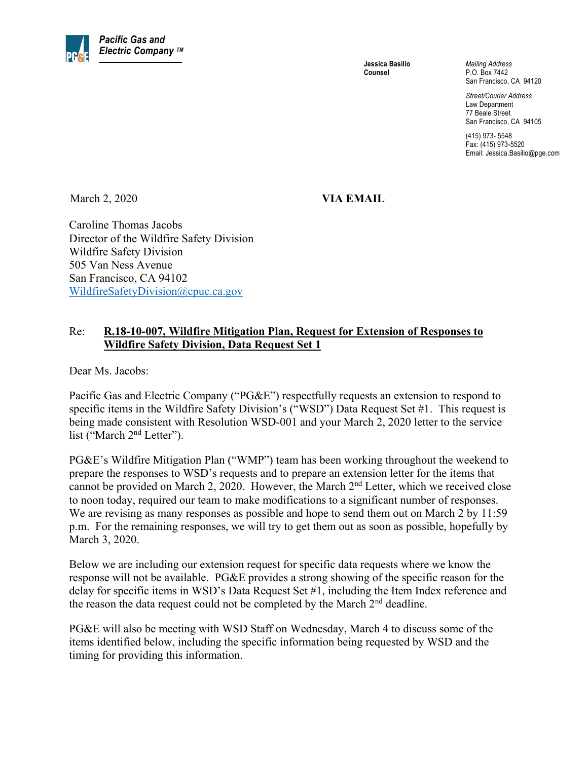

**Jessica Basilio Counsel** 

*Mailing Address*  P.O. Box 7442 San Francisco, CA 94120

*Street/Courier Address*  Law Department 77 Beale Street San Francisco, CA 94105

(415) 973- 5548 Fax: (415) 973-5520 Email: [Jessica.Basilio@pge.com](mailto:Jessica.Basilio@pge.com)

March 2, 2020 **VIA EMAIL** 

Caroline Thomas Jacobs Director of the Wildfire Safety Division Wildfire Safety Division 505 Van Ness Avenue San Francisco, CA 94102 [WildfireSafetyDivision@cpuc.ca.gov](mailto:wildfiresafetydivision@cpuc.ca.gov)

## Re: **R.18-10-007, Wildfire Mitigation Plan, Request for Extension of Responses to Wildfire Safety Division, Data Request Set 1**

Dear Ms. Jacobs:

Pacific Gas and Electric Company ("PG&E") respectfully requests an extension to respond to specific items in the Wildfire Safety Division's ("WSD") Data Request Set #1. This request is being made consistent with Resolution WSD-001 and your March 2, 2020 letter to the service list ("March 2nd Letter").

PG&E's Wildfire Mitigation Plan ("WMP") team has been working throughout the weekend to prepare the responses to WSD's requests and to prepare an extension letter for the items that cannot be provided on March 2, 2020. However, the March 2nd Letter, which we received close to noon today, required our team to make modifications to a significant number of responses. We are revising as many responses as possible and hope to send them out on March 2 by 11:59 p.m. For the remaining responses, we will try to get them out as soon as possible, hopefully by March 3, 2020.

Below we are including our extension request for specific data requests where we know the response will not be available. PG&E provides a strong showing of the specific reason for the delay for specific items in WSD's Data Request Set #1, including the Item Index reference and the reason the data request could not be completed by the March 2nd deadline.

PG&E will also be meeting with WSD Staff on Wednesday, March 4 to discuss some of the items identified below, including the specific information being requested by WSD and the timing for providing this information.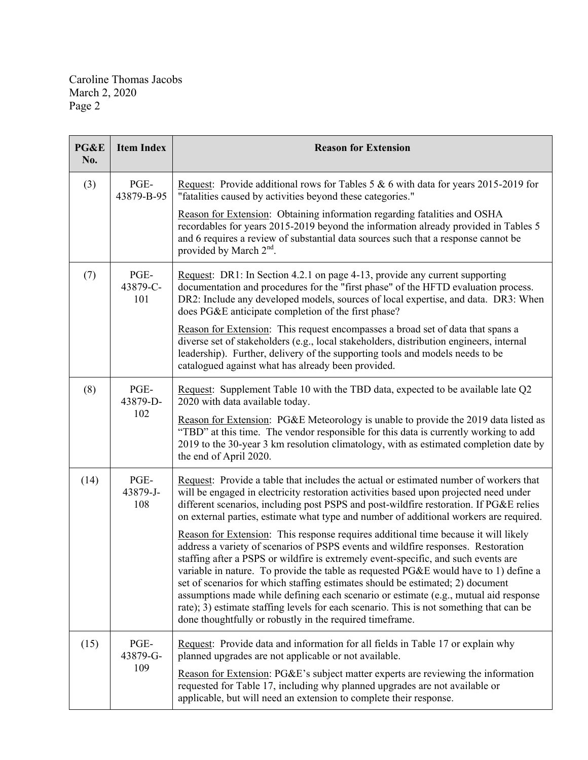| PG&E<br>No. | <b>Item Index</b>       | <b>Reason for Extension</b>                                                                                                                                                                                                                                                                                                                                                                                                                                                                                                                                                                                                                                                               |
|-------------|-------------------------|-------------------------------------------------------------------------------------------------------------------------------------------------------------------------------------------------------------------------------------------------------------------------------------------------------------------------------------------------------------------------------------------------------------------------------------------------------------------------------------------------------------------------------------------------------------------------------------------------------------------------------------------------------------------------------------------|
| (3)         | PGE-<br>43879-B-95      | Request: Provide additional rows for Tables 5 & 6 with data for years 2015-2019 for<br>"fatalities caused by activities beyond these categories."                                                                                                                                                                                                                                                                                                                                                                                                                                                                                                                                         |
|             |                         | Reason for Extension: Obtaining information regarding fatalities and OSHA<br>recordables for years 2015-2019 beyond the information already provided in Tables 5<br>and 6 requires a review of substantial data sources such that a response cannot be<br>provided by March 2 <sup>nd</sup> .                                                                                                                                                                                                                                                                                                                                                                                             |
| (7)         | PGE-<br>43879-C-<br>101 | Request: DR1: In Section 4.2.1 on page 4-13, provide any current supporting<br>documentation and procedures for the "first phase" of the HFTD evaluation process.<br>DR2: Include any developed models, sources of local expertise, and data. DR3: When<br>does PG&E anticipate completion of the first phase?                                                                                                                                                                                                                                                                                                                                                                            |
|             |                         | Reason for Extension: This request encompasses a broad set of data that spans a<br>diverse set of stakeholders (e.g., local stakeholders, distribution engineers, internal<br>leadership). Further, delivery of the supporting tools and models needs to be<br>catalogued against what has already been provided.                                                                                                                                                                                                                                                                                                                                                                         |
| (8)         | PGE-<br>43879-D-        | Request: Supplement Table 10 with the TBD data, expected to be available late Q2<br>2020 with data available today.                                                                                                                                                                                                                                                                                                                                                                                                                                                                                                                                                                       |
|             | 102                     | Reason for Extension: PG&E Meteorology is unable to provide the 2019 data listed as<br>"TBD" at this time. The vendor responsible for this data is currently working to add<br>2019 to the 30-year 3 km resolution climatology, with as estimated completion date by<br>the end of April 2020.                                                                                                                                                                                                                                                                                                                                                                                            |
| (14)        | PGE-<br>43879-J-<br>108 | Request: Provide a table that includes the actual or estimated number of workers that<br>will be engaged in electricity restoration activities based upon projected need under<br>different scenarios, including post PSPS and post-wildfire restoration. If PG&E relies<br>on external parties, estimate what type and number of additional workers are required.                                                                                                                                                                                                                                                                                                                        |
|             |                         | Reason for Extension: This response requires additional time because it will likely<br>address a variety of scenarios of PSPS events and wildfire responses. Restoration<br>staffing after a PSPS or wildfire is extremely event-specific, and such events are<br>variable in nature. To provide the table as requested $PGAE$ would have to 1) define a<br>set of scenarios for which staffing estimates should be estimated; 2) document<br>assumptions made while defining each scenario or estimate (e.g., mutual aid response<br>rate); 3) estimate staffing levels for each scenario. This is not something that can be<br>done thoughtfully or robustly in the required timeframe. |
| (15)        | PGE-<br>43879-G-        | Request: Provide data and information for all fields in Table 17 or explain why<br>planned upgrades are not applicable or not available.                                                                                                                                                                                                                                                                                                                                                                                                                                                                                                                                                  |
|             | 109                     | Reason for Extension: PG&E's subject matter experts are reviewing the information<br>requested for Table 17, including why planned upgrades are not available or<br>applicable, but will need an extension to complete their response.                                                                                                                                                                                                                                                                                                                                                                                                                                                    |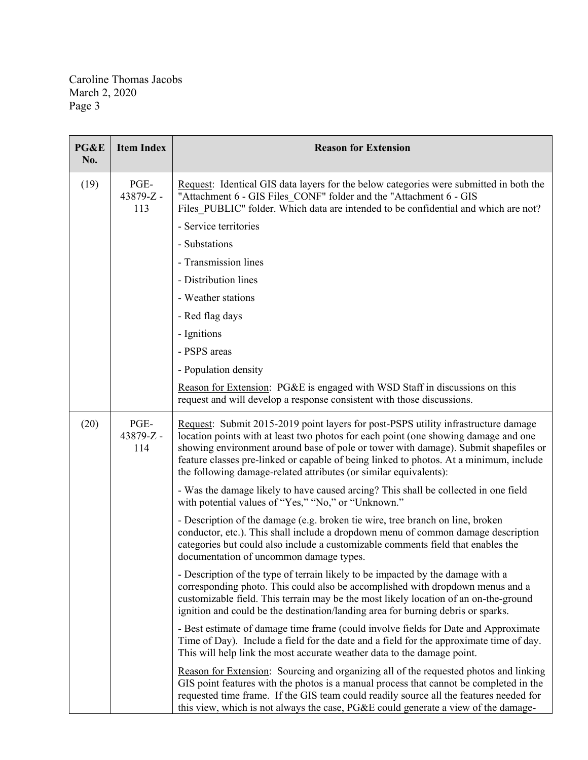Caroline Thomas Jacobs March 2, 2020 Page 3

| PG&E<br>No. | <b>Item Index</b>       | <b>Reason for Extension</b>                                                                                                                                                                                                                                                                                                                                                                                                     |
|-------------|-------------------------|---------------------------------------------------------------------------------------------------------------------------------------------------------------------------------------------------------------------------------------------------------------------------------------------------------------------------------------------------------------------------------------------------------------------------------|
| (19)        | PGE-<br>43879-Z-<br>113 | Request: Identical GIS data layers for the below categories were submitted in both the<br>"Attachment 6 - GIS Files CONF" folder and the "Attachment 6 - GIS<br>Files PUBLIC" folder. Which data are intended to be confidential and which are not?                                                                                                                                                                             |
|             |                         | - Service territories                                                                                                                                                                                                                                                                                                                                                                                                           |
|             |                         | - Substations                                                                                                                                                                                                                                                                                                                                                                                                                   |
|             |                         | - Transmission lines                                                                                                                                                                                                                                                                                                                                                                                                            |
|             |                         | - Distribution lines                                                                                                                                                                                                                                                                                                                                                                                                            |
|             |                         | - Weather stations                                                                                                                                                                                                                                                                                                                                                                                                              |
|             |                         | - Red flag days                                                                                                                                                                                                                                                                                                                                                                                                                 |
|             |                         | - Ignitions                                                                                                                                                                                                                                                                                                                                                                                                                     |
|             |                         | - PSPS areas                                                                                                                                                                                                                                                                                                                                                                                                                    |
|             |                         | - Population density                                                                                                                                                                                                                                                                                                                                                                                                            |
|             |                         | Reason for Extension: PG&E is engaged with WSD Staff in discussions on this<br>request and will develop a response consistent with those discussions.                                                                                                                                                                                                                                                                           |
| (20)        | PGE-<br>43879-Z-<br>114 | Request: Submit 2015-2019 point layers for post-PSPS utility infrastructure damage<br>location points with at least two photos for each point (one showing damage and one<br>showing environment around base of pole or tower with damage). Submit shapefiles or<br>feature classes pre-linked or capable of being linked to photos. At a minimum, include<br>the following damage-related attributes (or similar equivalents): |
|             |                         | - Was the damage likely to have caused arcing? This shall be collected in one field<br>with potential values of "Yes," "No," or "Unknown."                                                                                                                                                                                                                                                                                      |
|             |                         | - Description of the damage (e.g. broken tie wire, tree branch on line, broken<br>conductor, etc.). This shall include a dropdown menu of common damage description<br>categories but could also include a customizable comments field that enables the<br>documentation of uncommon damage types.                                                                                                                              |
|             |                         | - Description of the type of terrain likely to be impacted by the damage with a<br>corresponding photo. This could also be accomplished with dropdown menus and a<br>customizable field. This terrain may be the most likely location of an on-the-ground<br>ignition and could be the destination/landing area for burning debris or sparks.                                                                                   |
|             |                         | - Best estimate of damage time frame (could involve fields for Date and Approximate<br>Time of Day). Include a field for the date and a field for the approximate time of day.<br>This will help link the most accurate weather data to the damage point.                                                                                                                                                                       |
|             |                         | Reason for Extension: Sourcing and organizing all of the requested photos and linking<br>GIS point features with the photos is a manual process that cannot be completed in the<br>requested time frame. If the GIS team could readily source all the features needed for<br>this view, which is not always the case, PG&E could generate a view of the damage-                                                                 |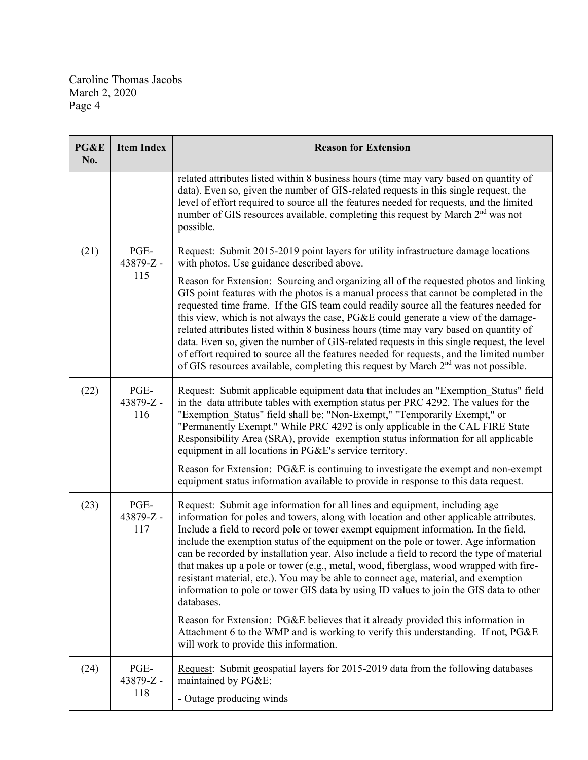| PG&E<br>No. | <b>Item Index</b>       | <b>Reason for Extension</b>                                                                                                                                                                                                                                                                                                                                                                                                                                                                                                                                                                                                                                                                                                                                                                                                                                                                                                                               |
|-------------|-------------------------|-----------------------------------------------------------------------------------------------------------------------------------------------------------------------------------------------------------------------------------------------------------------------------------------------------------------------------------------------------------------------------------------------------------------------------------------------------------------------------------------------------------------------------------------------------------------------------------------------------------------------------------------------------------------------------------------------------------------------------------------------------------------------------------------------------------------------------------------------------------------------------------------------------------------------------------------------------------|
|             |                         | related attributes listed within 8 business hours (time may vary based on quantity of<br>data). Even so, given the number of GIS-related requests in this single request, the<br>level of effort required to source all the features needed for requests, and the limited<br>number of GIS resources available, completing this request by March 2 <sup>nd</sup> was not<br>possible.                                                                                                                                                                                                                                                                                                                                                                                                                                                                                                                                                                     |
| (21)        | PGE-<br>43879-Z-        | Request: Submit 2015-2019 point layers for utility infrastructure damage locations<br>with photos. Use guidance described above.                                                                                                                                                                                                                                                                                                                                                                                                                                                                                                                                                                                                                                                                                                                                                                                                                          |
|             | 115                     | Reason for Extension: Sourcing and organizing all of the requested photos and linking<br>GIS point features with the photos is a manual process that cannot be completed in the<br>requested time frame. If the GIS team could readily source all the features needed for<br>this view, which is not always the case, PG&E could generate a view of the damage-<br>related attributes listed within 8 business hours (time may vary based on quantity of<br>data. Even so, given the number of GIS-related requests in this single request, the level<br>of effort required to source all the features needed for requests, and the limited number<br>of GIS resources available, completing this request by March 2 <sup>nd</sup> was not possible.                                                                                                                                                                                                      |
| (22)        | PGE-<br>43879-Z-<br>116 | Request: Submit applicable equipment data that includes an "Exemption Status" field<br>in the data attribute tables with exemption status per PRC 4292. The values for the<br>"Exemption Status" field shall be: "Non-Exempt," "Temporarily Exempt," or<br>"Permanently Exempt." While PRC 4292 is only applicable in the CAL FIRE State<br>Responsibility Area (SRA), provide exemption status information for all applicable<br>equipment in all locations in PG&E's service territory.<br>Reason for Extension: PG&E is continuing to investigate the exempt and non-exempt<br>equipment status information available to provide in response to this data request.                                                                                                                                                                                                                                                                                     |
| (23)        | PGE-<br>43879-Z-<br>117 | Request: Submit age information for all lines and equipment, including age<br>information for poles and towers, along with location and other applicable attributes.<br>Include a field to record pole or tower exempt equipment information. In the field,<br>include the exemption status of the equipment on the pole or tower. Age information<br>can be recorded by installation year. Also include a field to record the type of material<br>that makes up a pole or tower (e.g., metal, wood, fiberglass, wood wrapped with fire-<br>resistant material, etc.). You may be able to connect age, material, and exemption<br>information to pole or tower GIS data by using ID values to join the GIS data to other<br>databases.<br>Reason for Extension: PG&E believes that it already provided this information in<br>Attachment 6 to the WMP and is working to verify this understanding. If not, PG&E<br>will work to provide this information. |
| (24)        | PGE-<br>43879-Z-<br>118 | Request: Submit geospatial layers for 2015-2019 data from the following databases<br>maintained by PG&E:                                                                                                                                                                                                                                                                                                                                                                                                                                                                                                                                                                                                                                                                                                                                                                                                                                                  |
|             |                         | - Outage producing winds                                                                                                                                                                                                                                                                                                                                                                                                                                                                                                                                                                                                                                                                                                                                                                                                                                                                                                                                  |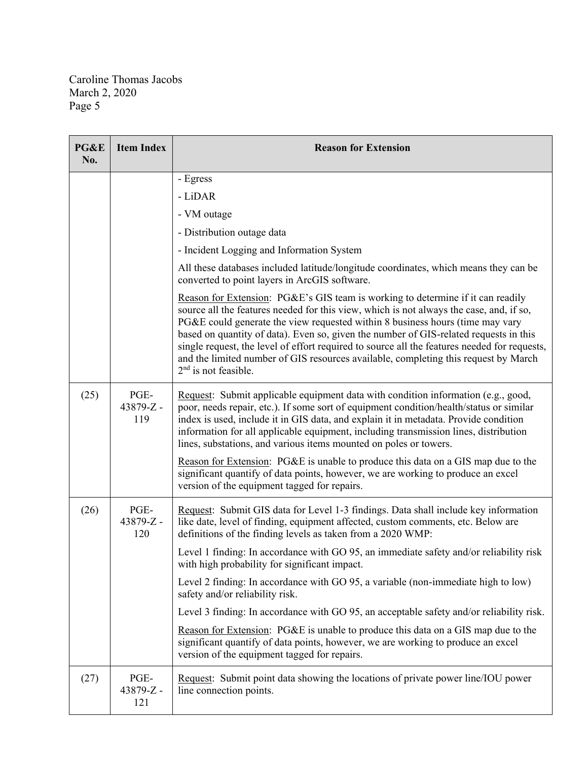Caroline Thomas Jacobs March 2, 2020 Page 5

| PG&E<br>No. | <b>Item Index</b>       | <b>Reason for Extension</b>                                                                                                                                                                                                                                                                                                                                                                                                                                                                                                                                           |
|-------------|-------------------------|-----------------------------------------------------------------------------------------------------------------------------------------------------------------------------------------------------------------------------------------------------------------------------------------------------------------------------------------------------------------------------------------------------------------------------------------------------------------------------------------------------------------------------------------------------------------------|
|             |                         | - Egress                                                                                                                                                                                                                                                                                                                                                                                                                                                                                                                                                              |
|             |                         | - LiDAR                                                                                                                                                                                                                                                                                                                                                                                                                                                                                                                                                               |
|             |                         | - VM outage                                                                                                                                                                                                                                                                                                                                                                                                                                                                                                                                                           |
|             |                         | - Distribution outage data                                                                                                                                                                                                                                                                                                                                                                                                                                                                                                                                            |
|             |                         | - Incident Logging and Information System                                                                                                                                                                                                                                                                                                                                                                                                                                                                                                                             |
|             |                         | All these databases included latitude/longitude coordinates, which means they can be<br>converted to point layers in ArcGIS software.                                                                                                                                                                                                                                                                                                                                                                                                                                 |
|             |                         | Reason for Extension: PG&E's GIS team is working to determine if it can readily<br>source all the features needed for this view, which is not always the case, and, if so,<br>PG&E could generate the view requested within 8 business hours (time may vary<br>based on quantity of data). Even so, given the number of GIS-related requests in this<br>single request, the level of effort required to source all the features needed for requests,<br>and the limited number of GIS resources available, completing this request by March<br>$2nd$ is not feasible. |
| (25)        | PGE-<br>43879-Z-<br>119 | Request: Submit applicable equipment data with condition information (e.g., good,<br>poor, needs repair, etc.). If some sort of equipment condition/health/status or similar<br>index is used, include it in GIS data, and explain it in metadata. Provide condition<br>information for all applicable equipment, including transmission lines, distribution<br>lines, substations, and various items mounted on poles or towers.                                                                                                                                     |
|             |                         | Reason for Extension: PG&E is unable to produce this data on a GIS map due to the<br>significant quantify of data points, however, we are working to produce an excel<br>version of the equipment tagged for repairs.                                                                                                                                                                                                                                                                                                                                                 |
| (26)        | PGE-<br>43879-Z-<br>120 | Request: Submit GIS data for Level 1-3 findings. Data shall include key information<br>like date, level of finding, equipment affected, custom comments, etc. Below are<br>definitions of the finding levels as taken from a 2020 WMP:                                                                                                                                                                                                                                                                                                                                |
|             |                         | Level 1 finding: In accordance with GO 95, an immediate safety and/or reliability risk<br>with high probability for significant impact.                                                                                                                                                                                                                                                                                                                                                                                                                               |
|             |                         | Level 2 finding: In accordance with GO 95, a variable (non-immediate high to low)<br>safety and/or reliability risk.                                                                                                                                                                                                                                                                                                                                                                                                                                                  |
|             |                         | Level 3 finding: In accordance with GO 95, an acceptable safety and/or reliability risk.                                                                                                                                                                                                                                                                                                                                                                                                                                                                              |
|             |                         | Reason for Extension: PG&E is unable to produce this data on a GIS map due to the<br>significant quantify of data points, however, we are working to produce an excel<br>version of the equipment tagged for repairs.                                                                                                                                                                                                                                                                                                                                                 |
| (27)        | PGE-<br>43879-Z-<br>121 | Request: Submit point data showing the locations of private power line/IOU power<br>line connection points.                                                                                                                                                                                                                                                                                                                                                                                                                                                           |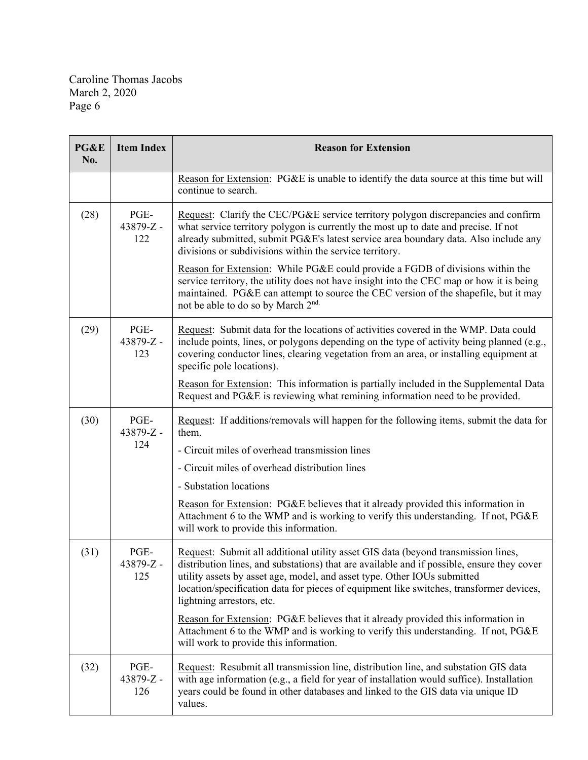| PG&E<br>No. | <b>Item Index</b>       | <b>Reason for Extension</b>                                                                                                                                                                                                                                                                                                                                                         |
|-------------|-------------------------|-------------------------------------------------------------------------------------------------------------------------------------------------------------------------------------------------------------------------------------------------------------------------------------------------------------------------------------------------------------------------------------|
|             |                         | Reason for Extension: PG&E is unable to identify the data source at this time but will<br>continue to search.                                                                                                                                                                                                                                                                       |
| (28)        | PGE-<br>43879-Z-<br>122 | Request: Clarify the CEC/PG&E service territory polygon discrepancies and confirm<br>what service territory polygon is currently the most up to date and precise. If not<br>already submitted, submit PG&E's latest service area boundary data. Also include any<br>divisions or subdivisions within the service territory.                                                         |
|             |                         | Reason for Extension: While PG&E could provide a FGDB of divisions within the<br>service territory, the utility does not have insight into the CEC map or how it is being<br>maintained. PG&E can attempt to source the CEC version of the shapefile, but it may<br>not be able to do so by March 2 <sup>nd.</sup>                                                                  |
| (29)        | PGE-<br>43879-Z-<br>123 | Request: Submit data for the locations of activities covered in the WMP. Data could<br>include points, lines, or polygons depending on the type of activity being planned (e.g.,<br>covering conductor lines, clearing vegetation from an area, or installing equipment at<br>specific pole locations).                                                                             |
|             |                         | Reason for Extension: This information is partially included in the Supplemental Data<br>Request and PG&E is reviewing what remining information need to be provided.                                                                                                                                                                                                               |
| (30)        | PGE-<br>43879-Z-<br>124 | Request: If additions/removals will happen for the following items, submit the data for<br>them.                                                                                                                                                                                                                                                                                    |
|             |                         | - Circuit miles of overhead transmission lines                                                                                                                                                                                                                                                                                                                                      |
|             |                         | - Circuit miles of overhead distribution lines                                                                                                                                                                                                                                                                                                                                      |
|             |                         | - Substation locations                                                                                                                                                                                                                                                                                                                                                              |
|             |                         | Reason for Extension: PG&E believes that it already provided this information in<br>Attachment 6 to the WMP and is working to verify this understanding. If not, PG&E<br>will work to provide this information.                                                                                                                                                                     |
| (31)        | PGE-<br>43879-Z-<br>125 | Request: Submit all additional utility asset GIS data (beyond transmission lines,<br>distribution lines, and substations) that are available and if possible, ensure they cover<br>utility assets by asset age, model, and asset type. Other IOUs submitted<br>location/specification data for pieces of equipment like switches, transformer devices,<br>lightning arrestors, etc. |
|             |                         | Reason for Extension: PG&E believes that it already provided this information in<br>Attachment 6 to the WMP and is working to verify this understanding. If not, PG&E<br>will work to provide this information.                                                                                                                                                                     |
| (32)        | PGE-<br>43879-Z-<br>126 | Request: Resubmit all transmission line, distribution line, and substation GIS data<br>with age information (e.g., a field for year of installation would suffice). Installation<br>years could be found in other databases and linked to the GIS data via unique ID<br>values.                                                                                                     |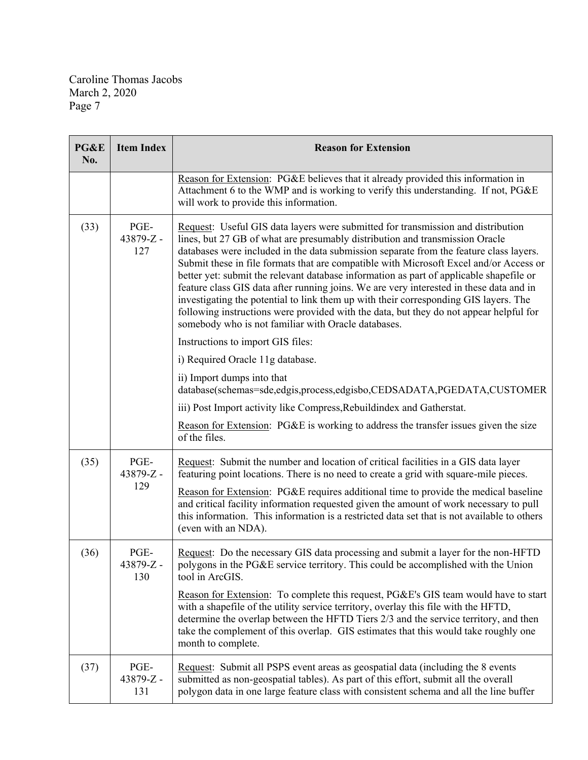| PG&E<br>No. | <b>Item Index</b>       | <b>Reason for Extension</b>                                                                                                                                                                                                                                                                                                                                                                                                                                                                                                                                                                                                                                                                                                                                                                                                                                                                                                                                                                                                                                                                                                         |
|-------------|-------------------------|-------------------------------------------------------------------------------------------------------------------------------------------------------------------------------------------------------------------------------------------------------------------------------------------------------------------------------------------------------------------------------------------------------------------------------------------------------------------------------------------------------------------------------------------------------------------------------------------------------------------------------------------------------------------------------------------------------------------------------------------------------------------------------------------------------------------------------------------------------------------------------------------------------------------------------------------------------------------------------------------------------------------------------------------------------------------------------------------------------------------------------------|
|             |                         | Reason for Extension: PG&E believes that it already provided this information in<br>Attachment 6 to the WMP and is working to verify this understanding. If not, PG&E<br>will work to provide this information.                                                                                                                                                                                                                                                                                                                                                                                                                                                                                                                                                                                                                                                                                                                                                                                                                                                                                                                     |
| (33)        | PGE-<br>43879-Z-<br>127 | Request: Useful GIS data layers were submitted for transmission and distribution<br>lines, but 27 GB of what are presumably distribution and transmission Oracle<br>databases were included in the data submission separate from the feature class layers.<br>Submit these in file formats that are compatible with Microsoft Excel and/or Access or<br>better yet: submit the relevant database information as part of applicable shapefile or<br>feature class GIS data after running joins. We are very interested in these data and in<br>investigating the potential to link them up with their corresponding GIS layers. The<br>following instructions were provided with the data, but they do not appear helpful for<br>somebody who is not familiar with Oracle databases.<br>Instructions to import GIS files:<br>i) Required Oracle 11g database.<br>ii) Import dumps into that<br>database(schemas=sde,edgis,process,edgisbo,CEDSADATA,PGEDATA,CUSTOMER<br>iii) Post Import activity like Compress, Rebuildindex and Gatherstat.<br>Reason for Extension: PG&E is working to address the transfer issues given the size |
|             |                         | of the files.                                                                                                                                                                                                                                                                                                                                                                                                                                                                                                                                                                                                                                                                                                                                                                                                                                                                                                                                                                                                                                                                                                                       |
| (35)        | PGE-<br>43879-Z-<br>129 | Request: Submit the number and location of critical facilities in a GIS data layer<br>featuring point locations. There is no need to create a grid with square-mile pieces.<br>Reason for Extension: PG&E requires additional time to provide the medical baseline<br>and critical facility information requested given the amount of work necessary to pull<br>this information. This information is a restricted data set that is not available to others                                                                                                                                                                                                                                                                                                                                                                                                                                                                                                                                                                                                                                                                         |
|             |                         | (even with an NDA).                                                                                                                                                                                                                                                                                                                                                                                                                                                                                                                                                                                                                                                                                                                                                                                                                                                                                                                                                                                                                                                                                                                 |
| (36)        | PGE-<br>43879-Z-<br>130 | Request: Do the necessary GIS data processing and submit a layer for the non-HFTD<br>polygons in the PG&E service territory. This could be accomplished with the Union<br>tool in ArcGIS.                                                                                                                                                                                                                                                                                                                                                                                                                                                                                                                                                                                                                                                                                                                                                                                                                                                                                                                                           |
|             |                         | Reason for Extension: To complete this request, PG&E's GIS team would have to start<br>with a shapefile of the utility service territory, overlay this file with the HFTD,<br>determine the overlap between the HFTD Tiers 2/3 and the service territory, and then<br>take the complement of this overlap. GIS estimates that this would take roughly one<br>month to complete.                                                                                                                                                                                                                                                                                                                                                                                                                                                                                                                                                                                                                                                                                                                                                     |
| (37)        | PGE-<br>43879-Z-<br>131 | Request: Submit all PSPS event areas as geospatial data (including the 8 events<br>submitted as non-geospatial tables). As part of this effort, submit all the overall<br>polygon data in one large feature class with consistent schema and all the line buffer                                                                                                                                                                                                                                                                                                                                                                                                                                                                                                                                                                                                                                                                                                                                                                                                                                                                    |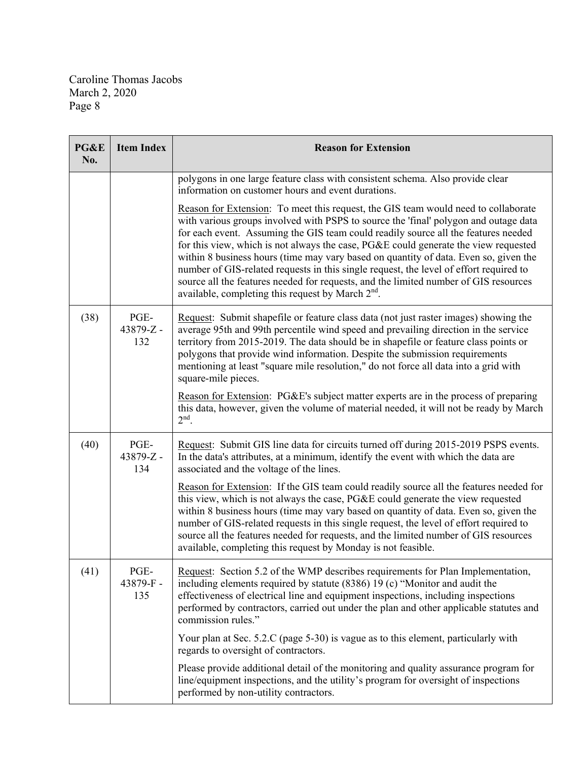| PG&E<br>No. | <b>Item Index</b>       | <b>Reason for Extension</b>                                                                                                                                                                                                                                                                                                                                                                                                                                                                                                                                                                                                                                                              |
|-------------|-------------------------|------------------------------------------------------------------------------------------------------------------------------------------------------------------------------------------------------------------------------------------------------------------------------------------------------------------------------------------------------------------------------------------------------------------------------------------------------------------------------------------------------------------------------------------------------------------------------------------------------------------------------------------------------------------------------------------|
|             |                         | polygons in one large feature class with consistent schema. Also provide clear<br>information on customer hours and event durations.                                                                                                                                                                                                                                                                                                                                                                                                                                                                                                                                                     |
|             |                         | Reason for Extension: To meet this request, the GIS team would need to collaborate<br>with various groups involved with PSPS to source the 'final' polygon and outage data<br>for each event. Assuming the GIS team could readily source all the features needed<br>for this view, which is not always the case, PG&E could generate the view requested<br>within 8 business hours (time may vary based on quantity of data. Even so, given the<br>number of GIS-related requests in this single request, the level of effort required to<br>source all the features needed for requests, and the limited number of GIS resources<br>available, completing this request by March $2nd$ . |
| (38)        | PGE-<br>43879-Z-<br>132 | Request: Submit shapefile or feature class data (not just raster images) showing the<br>average 95th and 99th percentile wind speed and prevailing direction in the service<br>territory from 2015-2019. The data should be in shapefile or feature class points or<br>polygons that provide wind information. Despite the submission requirements<br>mentioning at least "square mile resolution," do not force all data into a grid with<br>square-mile pieces.                                                                                                                                                                                                                        |
|             |                         | Reason for Extension: PG&E's subject matter experts are in the process of preparing<br>this data, however, given the volume of material needed, it will not be ready by March<br>$2nd$ .                                                                                                                                                                                                                                                                                                                                                                                                                                                                                                 |
| (40)        | PGE-<br>43879-Z-<br>134 | Request: Submit GIS line data for circuits turned off during 2015-2019 PSPS events.<br>In the data's attributes, at a minimum, identify the event with which the data are<br>associated and the voltage of the lines.                                                                                                                                                                                                                                                                                                                                                                                                                                                                    |
|             |                         | Reason for Extension: If the GIS team could readily source all the features needed for<br>this view, which is not always the case, PG&E could generate the view requested<br>within 8 business hours (time may vary based on quantity of data. Even so, given the<br>number of GIS-related requests in this single request, the level of effort required to<br>source all the features needed for requests, and the limited number of GIS resources<br>available, completing this request by Monday is not feasible.                                                                                                                                                                     |
| (41)        | PGE-<br>43879-F-<br>135 | Request: Section 5.2 of the WMP describes requirements for Plan Implementation,<br>including elements required by statute (8386) 19 (c) "Monitor and audit the<br>effectiveness of electrical line and equipment inspections, including inspections<br>performed by contractors, carried out under the plan and other applicable statutes and<br>commission rules."                                                                                                                                                                                                                                                                                                                      |
|             |                         | Your plan at Sec. 5.2.C (page 5-30) is vague as to this element, particularly with<br>regards to oversight of contractors.                                                                                                                                                                                                                                                                                                                                                                                                                                                                                                                                                               |
|             |                         | Please provide additional detail of the monitoring and quality assurance program for<br>line/equipment inspections, and the utility's program for oversight of inspections<br>performed by non-utility contractors.                                                                                                                                                                                                                                                                                                                                                                                                                                                                      |